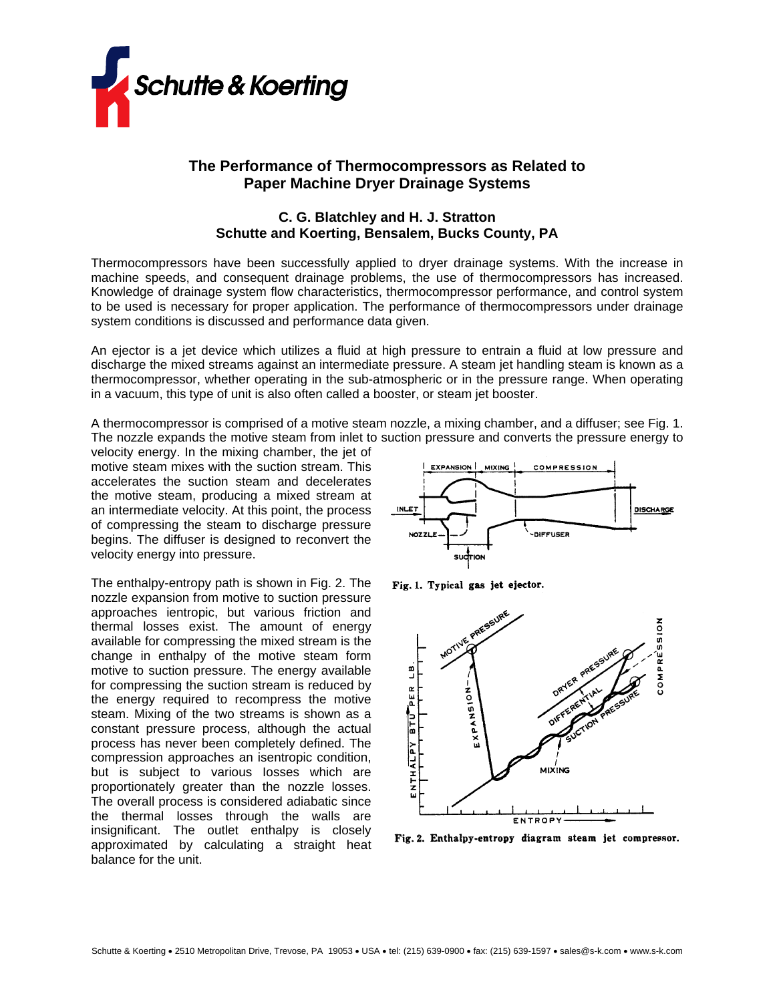

# **The Performance of Thermocompressors as Related to Paper Machine Dryer Drainage Systems**

## **C. G. Blatchley and H. J. Stratton Schutte and Koerting, Bensalem, Bucks County, PA**

Thermocompressors have been successfully applied to dryer drainage systems. With the increase in machine speeds, and consequent drainage problems, the use of thermocompressors has increased. Knowledge of drainage system flow characteristics, thermocompressor performance, and control system to be used is necessary for proper application. The performance of thermocompressors under drainage system conditions is discussed and performance data given.

An ejector is a jet device which utilizes a fluid at high pressure to entrain a fluid at low pressure and discharge the mixed streams against an intermediate pressure. A steam jet handling steam is known as a thermocompressor, whether operating in the sub-atmospheric or in the pressure range. When operating in a vacuum, this type of unit is also often called a booster, or steam jet booster.

A thermocompressor is comprised of a motive steam nozzle, a mixing chamber, and a diffuser; see Fig. 1. The nozzle expands the motive steam from inlet to suction pressure and converts the pressure energy to

velocity energy. In the mixing chamber, the jet of motive steam mixes with the suction stream. This accelerates the suction steam and decelerates the motive steam, producing a mixed stream at an intermediate velocity. At this point, the process of compressing the steam to discharge pressure begins. The diffuser is designed to reconvert the velocity energy into pressure.

The enthalpy-entropy path is shown in Fig. 2. The nozzle expansion from motive to suction pressure approaches ientropic, but various friction and thermal losses exist. The amount of energy available for compressing the mixed stream is the change in enthalpy of the motive steam form motive to suction pressure. The energy available for compressing the suction stream is reduced by the energy required to recompress the motive steam. Mixing of the two streams is shown as a constant pressure process, although the actual process has never been completely defined. The compression approaches an isentropic condition, but is subject to various Iosses which are proportionately greater than the nozzle losses. The overall process is considered adiabatic since the thermal losses through the walls are insignificant. The outlet enthalpy is closely approximated by calculating a straight heat balance for the unit.



Fig. 1. Typical gas jet ejector.



Fig. 2. Enthalpy-entropy diagram steam jet compressor.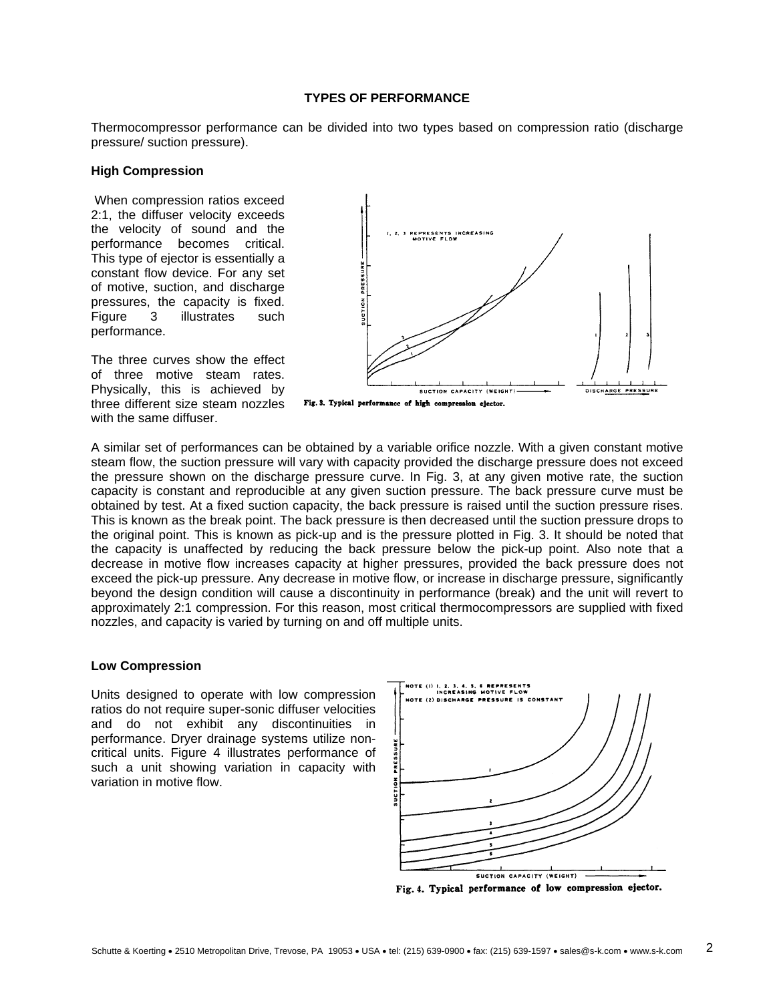## **TYPES OF PERFORMANCE**

Thermocompressor performance can be divided into two types based on compression ratio (discharge pressure/ suction pressure).

#### **High Compression**

When compression ratios exceed 2:1, the diffuser velocity exceeds the velocity of sound and the performance becomes critical. This type of ejector is essentially a constant flow device. For any set of motive, suction, and discharge pressures, the capacity is fixed. Figure 3 illustrates such performance.

The three curves show the effect of three motive steam rates. Physically, this is achieved by three different size steam nozzles with the same diffuser.



Fig. 3. Typical performance of high compression ejector.

A similar set of performances can be obtained by a variable orifice nozzle. With a given constant motive steam flow, the suction pressure will vary with capacity provided the discharge pressure does not exceed the pressure shown on the discharge pressure curve. In Fig. 3, at any given motive rate, the suction capacity is constant and reproducible at any given suction pressure. The back pressure curve must be obtained by test. At a fixed suction capacity, the back pressure is raised until the suction pressure rises. This is known as the break point. The back pressure is then decreased until the suction pressure drops to the original point. This is known as pick-up and is the pressure plotted in Fig. 3. It should be noted that the capacity is unaffected by reducing the back pressure below the pick-up point. Also note that a decrease in motive flow increases capacity at higher pressures, provided the back pressure does not exceed the pick-up pressure. Any decrease in motive flow, or increase in discharge pressure, significantly beyond the design condition will cause a discontinuity in performance (break) and the unit will revert to approximately 2:1 compression. For this reason, most critical thermocompressors are supplied with fixed nozzles, and capacity is varied by turning on and off multiple units.

#### **Low Compression**

Units designed to operate with low compression ratios do not require super-sonic diffuser velocities and do not exhibit any discontinuities in performance. Dryer drainage systems utilize noncritical units. Figure 4 illustrates performance of such a unit showing variation in capacity with variation in motive flow.



Fig. 4. Typical performance of low compression ejector.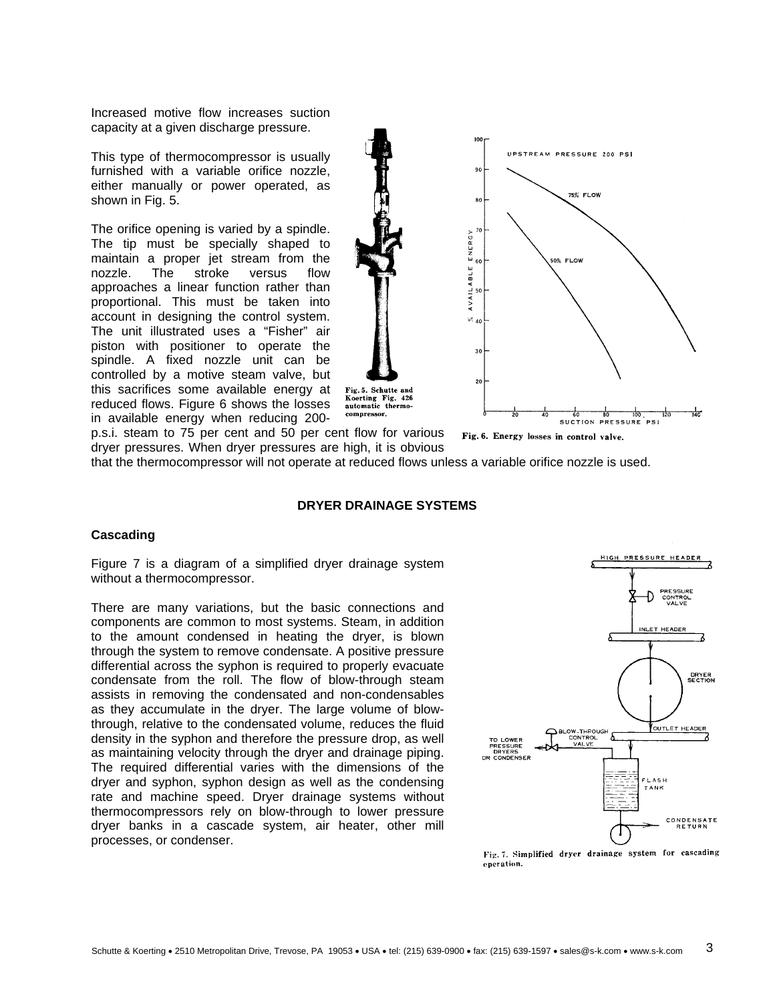Increased motive flow increases suction capacity at a given discharge pressure.

This type of thermocompressor is usually furnished with a variable orifice nozzle, either manually or power operated, as shown in Fig. 5.

The orifice opening is varied by a spindle. The tip must be specially shaped to maintain a proper jet stream from the nozzle. The stroke versus flow approaches a linear function rather than proportional. This must be taken into account in designing the control system. The unit illustrated uses a "Fisher" air piston with positioner to operate the spindle. A fixed nozzle unit can be controlled by a motive steam valve, but this sacrifices some available energy at reduced flows. Figure 6 shows the losses in available energy when reducing 200-



Fig. 6. Energy losses in control valve.

Fig. 5. Schutte and Koerting Fig. 426 automatic thermo-

p.s.i. steam to 75 per cent and 50 per cent flow for various dryer pressures. When dryer pressures are high, it is obvious

that the thermocompressor will not operate at reduced flows unless a variable orifice nozzle is used.

#### **DRYER DRAINAGE SYSTEMS**

#### **Cascading**

Figure 7 is a diagram of a simplified dryer drainage system without a thermocompressor.

There are many variations, but the basic connections and components are common to most systems. Steam, in addition to the amount condensed in heating the dryer, is blown through the system to remove condensate. A positive pressure differential across the syphon is required to properly evacuate condensate from the roll. The flow of blow-through steam assists in removing the condensated and non-condensables as they accumulate in the dryer. The large volume of blowthrough, relative to the condensated volume, reduces the fluid density in the syphon and therefore the pressure drop, as well as maintaining velocity through the dryer and drainage piping. The required differential varies with the dimensions of the dryer and syphon, syphon design as well as the condensing rate and machine speed. Dryer drainage systems without thermocompressors rely on blow-through to lower pressure dryer banks in a cascade system, air heater, other mill processes, or condenser.



Fig. 7. Simplified dryer drainage system for cascading eneration.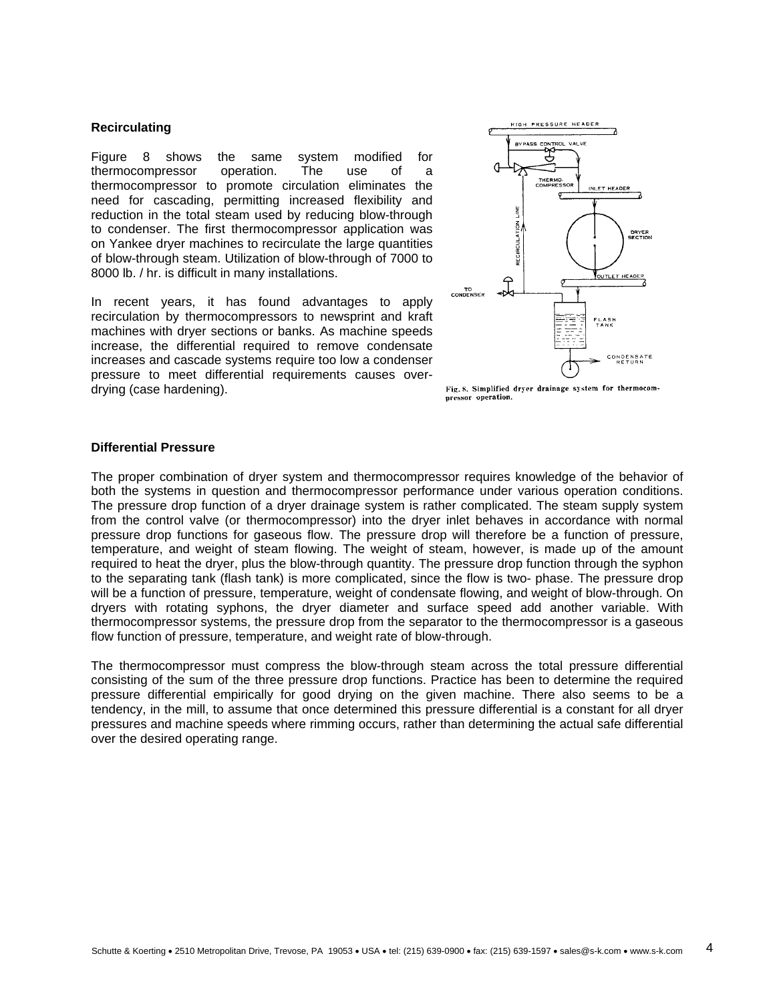#### **Recirculating**

Figure 8 shows the same system modified for thermocompressor operation. The use of a thermocompressor to promote circulation eliminates the need for cascading, permitting increased flexibility and reduction in the total steam used by reducing blow-through to condenser. The first thermocompressor application was on Yankee dryer machines to recirculate the large quantities of blow-through steam. Utilization of blow-through of 7000 to 8000 lb. / hr. is difficult in many installations.

In recent years, it has found advantages to apply recirculation by thermocompressors to newsprint and kraft machines with dryer sections or banks. As machine speeds increase, the differential required to remove condensate increases and cascade systems require too low a condenser pressure to meet differential requirements causes overdrying (case hardening).



Fig. 8. Simplified dryer drainage system for thermocompressor operation.

#### **Differential Pressure**

The proper combination of dryer system and thermocompressor requires knowledge of the behavior of both the systems in question and thermocompressor performance under various operation conditions. The pressure drop function of a dryer drainage system is rather complicated. The steam supply system from the control valve (or thermocompressor) into the dryer inlet behaves in accordance with normal pressure drop functions for gaseous flow. The pressure drop will therefore be a function of pressure, temperature, and weight of steam flowing. The weight of steam, however, is made up of the amount required to heat the dryer, plus the blow-through quantity. The pressure drop function through the syphon to the separating tank (flash tank) is more complicated, since the flow is two- phase. The pressure drop will be a function of pressure, temperature, weight of condensate flowing, and weight of blow-through. On dryers with rotating syphons, the dryer diameter and surface speed add another variable. With thermocompressor systems, the pressure drop from the separator to the thermocompressor is a gaseous flow function of pressure, temperature, and weight rate of blow-through.

The thermocompressor must compress the blow-through steam across the total pressure differential consisting of the sum of the three pressure drop functions. Practice has been to determine the required pressure differential empirically for good drying on the given machine. There also seems to be a tendency, in the mill, to assume that once determined this pressure differential is a constant for all dryer pressures and machine speeds where rimming occurs, rather than determining the actual safe differential over the desired operating range.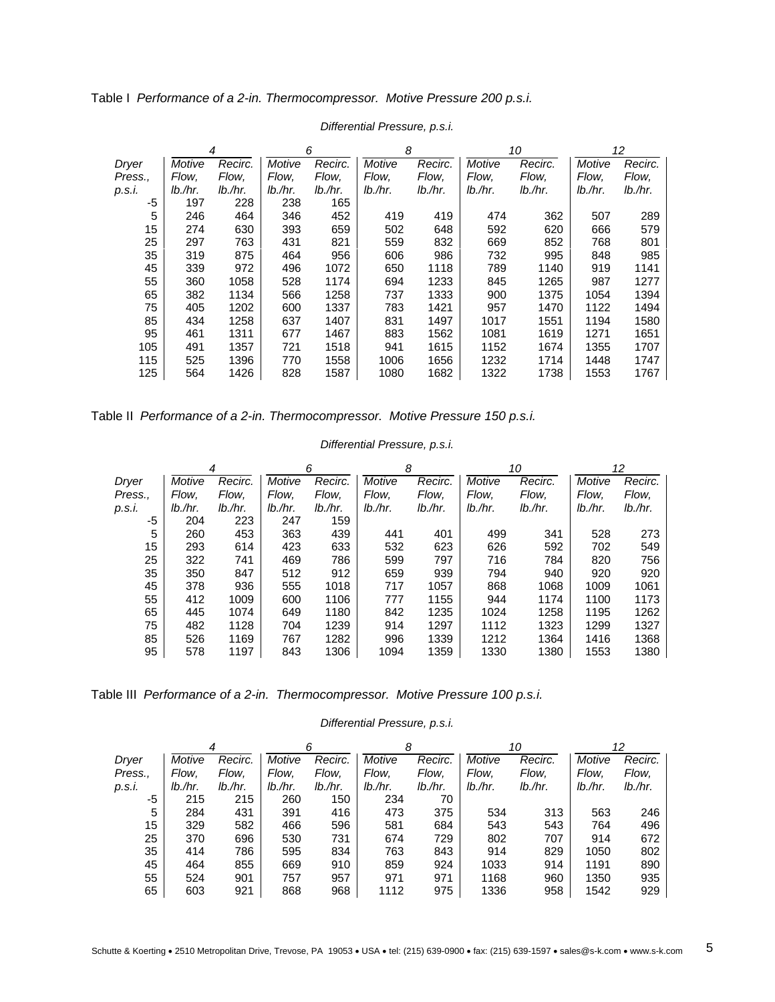|         |            | 4          |            | 6       | 8          |            | 10         |            | 12         |            |
|---------|------------|------------|------------|---------|------------|------------|------------|------------|------------|------------|
| Dryer   | Motive     | Recirc.    | Motive     | Recirc. | Motive     | Recirc.    | Motive     | Recirc.    | Motive     | Recirc.    |
| Press., | Flow,      | Flow.      | Flow,      | Flow,   | Flow.      | Flow,      | Flow.      | Flow,      | Flow.      | Flow,      |
| p.s.i.  | $lb.$ /hr. | $lb.$ /hr. | $lb.$ /hr. | lb./hr. | $lb.$ /hr. | $lb.$ /hr. | $lb.$ /hr. | $lb.$ /hr. | $lb.$ /hr. | $lb.$ /hr. |
| -5      | 197        | 228        | 238        | 165     |            |            |            |            |            |            |
| 5       | 246        | 464        | 346        | 452     | 419        | 419        | 474        | 362        | 507        | 289        |
| 15      | 274        | 630        | 393        | 659     | 502        | 648        | 592        | 620        | 666        | 579        |
| 25      | 297        | 763        | 431        | 821     | 559        | 832        | 669        | 852        | 768        | 801        |
| 35      | 319        | 875        | 464        | 956     | 606        | 986        | 732        | 995        | 848        | 985        |
| 45      | 339        | 972        | 496        | 1072    | 650        | 1118       | 789        | 1140       | 919        | 1141       |
| 55      | 360        | 1058       | 528        | 1174    | 694        | 1233       | 845        | 1265       | 987        | 1277       |
| 65      | 382        | 1134       | 566        | 1258    | 737        | 1333       | 900        | 1375       | 1054       | 1394       |
| 75      | 405        | 1202       | 600        | 1337    | 783        | 1421       | 957        | 1470       | 1122       | 1494       |
| 85      | 434        | 1258       | 637        | 1407    | 831        | 1497       | 1017       | 1551       | 1194       | 1580       |
| 95      | 461        | 1311       | 677        | 1467    | 883        | 1562       | 1081       | 1619       | 1271       | 1651       |
| 105     | 491        | 1357       | 721        | 1518    | 941        | 1615       | 1152       | 1674       | 1355       | 1707       |
| 115     | 525        | 1396       | 770        | 1558    | 1006       | 1656       | 1232       | 1714       | 1448       | 1747       |
| 125     | 564        | 1426       | 828        | 1587    | 1080       | 1682       | 1322       | 1738       | 1553       | 1767       |

## *Differential Pressure, p.s.i.*

Table II *Performance of a 2-in. Thermocompressor. Motive Pressure 150 p.s.i.* 

|         | 6<br>4     |            |            | 8<br>10 |            |            | 12      |         |            |            |
|---------|------------|------------|------------|---------|------------|------------|---------|---------|------------|------------|
| Dryer   | Motive     | Recirc.    | Motive     | Recirc. | Motive     | Recirc.    | Motive  | Recirc. | Motive     | Recirc.    |
| Press., | Flow.      | Flow.      | Flow.      | Flow,   | Flow.      | Flow,      | Flow.   | Flow,   | Flow.      | Flow,      |
| p.s.i.  | $lb.$ /hr. | $lb.$ /hr. | $lb.$ /hr. | lb./hr. | $lb.$ /hr. | $lb.$ /hr. | lb./hr. | lb./hr. | $lb.$ /hr. | $lb.$ /hr. |
| -5      | 204        | 223        | 247        | 159     |            |            |         |         |            |            |
| 5       | 260        | 453        | 363        | 439     | 441        | 401        | 499     | 341     | 528        | 273        |
| 15      | 293        | 614        | 423        | 633     | 532        | 623        | 626     | 592     | 702        | 549        |
| 25      | 322        | 741        | 469        | 786     | 599        | 797        | 716     | 784     | 820        | 756        |
| 35      | 350        | 847        | 512        | 912     | 659        | 939        | 794     | 940     | 920        | 920        |
| 45      | 378        | 936        | 555        | 1018    | 717        | 1057       | 868     | 1068    | 1009       | 1061       |
| 55      | 412        | 1009       | 600        | 1106    | 777        | 1155       | 944     | 1174    | 1100       | 1173       |
| 65      | 445        | 1074       | 649        | 1180    | 842        | 1235       | 1024    | 1258    | 1195       | 1262       |
| 75      | 482        | 1128       | 704        | 1239    | 914        | 1297       | 1112    | 1323    | 1299       | 1327       |
| 85      | 526        | 1169       | 767        | 1282    | 996        | 1339       | 1212    | 1364    | 1416       | 1368       |
| 95      | 578        | 1197       | 843        | 1306    | 1094       | 1359       | 1330    | 1380    | 1553       | 1380       |

### *Differential Pressure, p.s.i.*

Table III *Performance of a 2-in. Thermocompressor. Motive Pressure 100 p.s.i.* 

### *Differential Pressure, p.s.i.*

|         | 4          |            |            | 6       | 8          |            | 10         |            | 12 <sup>2</sup> |            |
|---------|------------|------------|------------|---------|------------|------------|------------|------------|-----------------|------------|
| Dryer   | Motive     | Recirc.    | Motive     | Recirc. | Motive     | Recirc.    | Motive     | Recirc.    | Motive          | Recirc.    |
| Press., | Flow.      | Flow.      | Flow.      | Flow,   | Flow.      | Flow,      | Flow.      | Flow,      | Flow.           | Flow,      |
| p.s.i.  | $lb.$ /hr. | $lb.$ /hr. | $lb.$ /hr. | lb./hr. | $lb$ ./hr. | $lb.$ /hr. | $lb.$ /hr. | $lb.$ /hr. | $lb.$ /hr.      | $lb.$ /hr. |
| -5      | 215        | 215        | 260        | 150     | 234        | 70         |            |            |                 |            |
| 5       | 284        | 431        | 391        | 416     | 473        | 375        | 534        | 313        | 563             | 246        |
| 15      | 329        | 582        | 466        | 596     | 581        | 684        | 543        | 543        | 764             | 496        |
| 25      | 370        | 696        | 530        | 731     | 674        | 729        | 802        | 707        | 914             | 672        |
| 35      | 414        | 786        | 595        | 834     | 763        | 843        | 914        | 829        | 1050            | 802        |
| 45      | 464        | 855        | 669        | 910     | 859        | 924        | 1033       | 914        | 1191            | 890        |
| 55      | 524        | 901        | 757        | 957     | 971        | 971        | 1168       | 960        | 1350            | 935        |
| 65      | 603        | 921        | 868        | 968     | 1112       | 975        | 1336       | 958        | 1542            | 929        |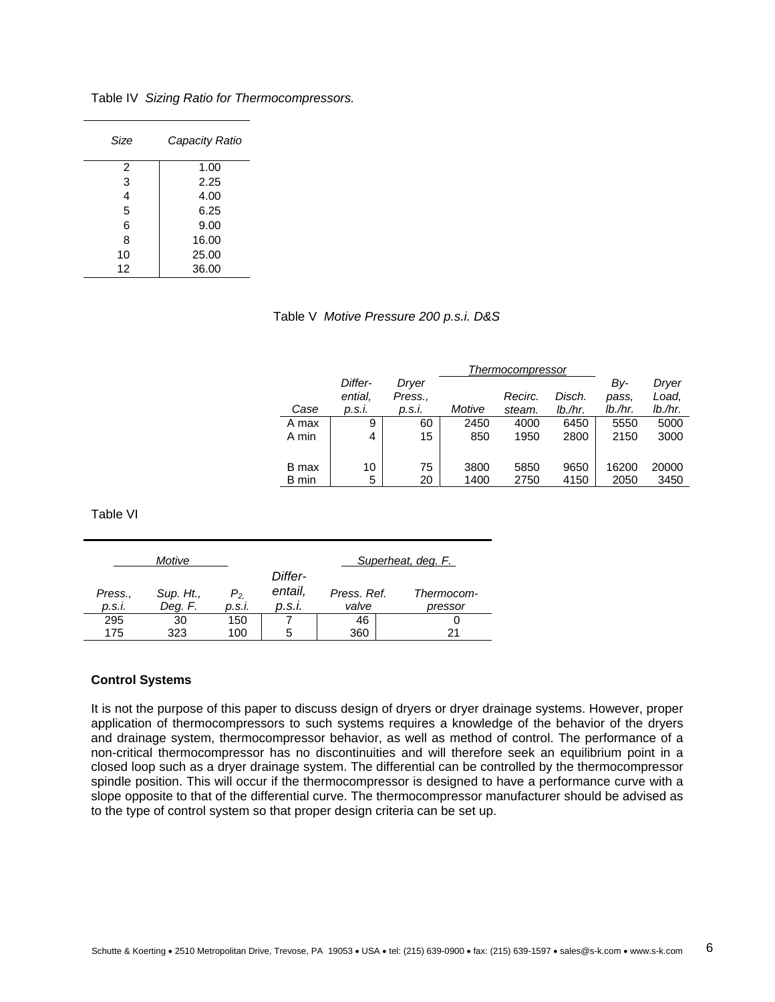| Size | Capacity Ratio |
|------|----------------|
| 2    | 1.00           |
| 3    | 2.25           |
| 4    | 4.00           |
| 5    | 6.25           |
| 6    | 9.00           |
| 8    | 16.00          |
| 10   | 25.00          |
| 12   | 36.00          |

Table IV *Sizing Ratio for Thermocompressors.* 

## Table V *Motive Pressure 200 p.s.i. D&S*

|       | Differ- | Dryer   |        |         |         | Bv-     | Dryer      |
|-------|---------|---------|--------|---------|---------|---------|------------|
|       | ential, | Press., |        | Recirc. | Disch.  | pass.   | Load,      |
| Case  | p.s.i.  | p.s.i.  | Motive | steam.  | lb./hr. | lb./hr. | $lb$ ./hr. |
| A max | 9       | 60      | 2450   | 4000    | 6450    | 5550    | 5000       |
| A min | 4       | 15      | 850    | 1950    | 2800    | 2150    | 3000       |
|       |         |         |        |         |         |         |            |
| B max | 10      | 75      | 3800   | 5850    | 9650    | 16200   | 20000      |
| B min | 5       | 20      | 1400   | 2750    | 4150    | 2050    | 3450       |

Table VI

|         | Motive    |          |         |             | Superheat, deg. F. |
|---------|-----------|----------|---------|-------------|--------------------|
|         |           |          | Differ- |             |                    |
| Press., | Sup. Ht., | $P_{2.}$ | entail, | Press. Ref. | Thermocom-         |
| p.s.i.  | Deg. F.   | p.s.i.   | p.s.i.  | valve       | pressor            |
| 295     | 30        | 150      |         | 46          |                    |
| 175     | 323       | 100      | 5       | 360         |                    |

#### **Control Systems**

It is not the purpose of this paper to discuss design of dryers or dryer drainage systems. However, proper application of thermocompressors to such systems requires a knowledge of the behavior of the dryers and drainage system, thermocompressor behavior, as well as method of control. The performance of a non-critical thermocompressor has no discontinuities and will therefore seek an equilibrium point in a closed loop such as a dryer drainage system. The differential can be controlled by the thermocompressor spindle position. This will occur if the thermocompressor is designed to have a performance curve with a slope opposite to that of the differential curve. The thermocompressor manufacturer should be advised as to the type of control system so that proper design criteria can be set up.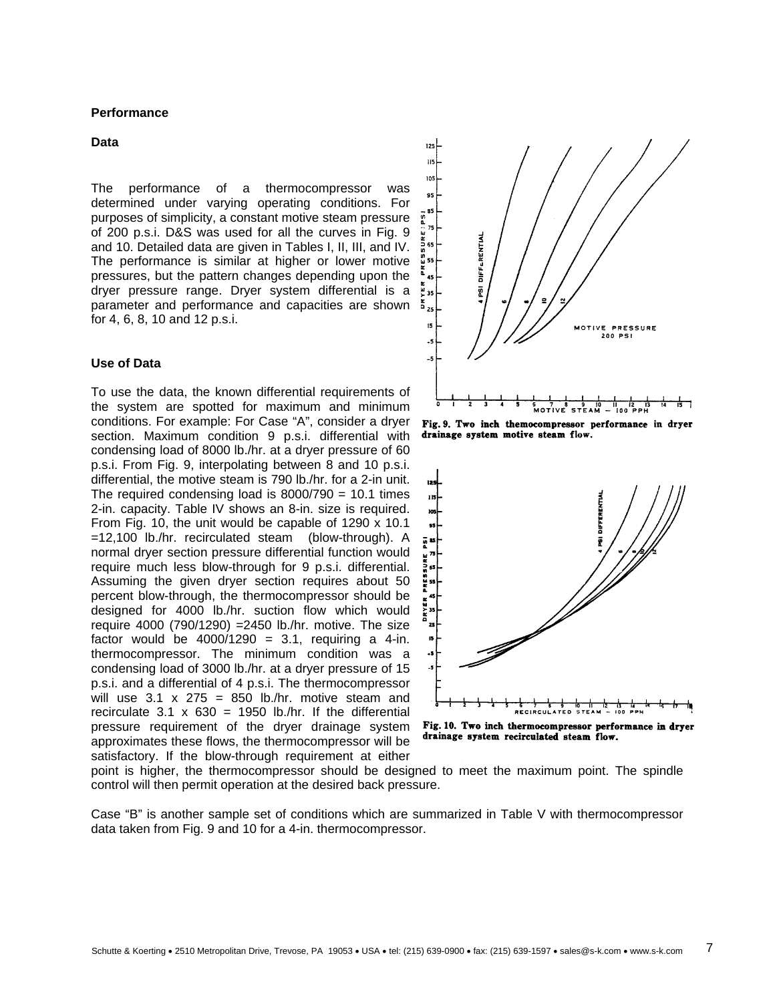### **Performance**

#### **Data**

The performance of a thermocompressor was determined under varying operating conditions. For purposes of simplicity, a constant motive steam pressure of 200 p.s.i. D&S was used for all the curves in Fig. 9 and 10. Detailed data are given in Tables I, II, III, and IV. The performance is similar at higher or lower motive pressures, but the pattern changes depending upon the dryer pressure range. Dryer system differential is a parameter and performance and capacities are shown for 4, 6, 8, 10 and 12 p.s.i.

## **Use of Data**

To use the data, the known differential requirements of the system are spotted for maximum and minimum conditions. For example: For Case "A", consider a dryer section. Maximum condition 9 p.s.i. differential with condensing load of 8000 lb./hr. at a dryer pressure of 60 p.s.i. From Fig. 9, interpolating between 8 and 10 p.s.i. differential, the motive steam is 790 lb./hr. for a 2-in unit. The required condensing load is  $8000/790 = 10.1$  times 2-in. capacity. Table IV shows an 8-in. size is required. From Fig. 10, the unit would be capable of 1290 x 10.1 =12,100 lb./hr. recirculated steam (blow-through). A normal dryer section pressure differential function would require much less blow-through for 9 p.s.i. differential. Assuming the given dryer section requires about 50 percent blow-through, the thermocompressor should be designed for 4000 lb./hr. suction flow which would require 4000 (790/1290) =2450 lb./hr. motive. The size factor would be  $4000/1290 = 3.1$ , requiring a 4-in. thermocompressor. The minimum condition was a condensing load of 3000 lb./hr. at a dryer pressure of 15 p.s.i. and a differential of 4 p.s.i. The thermocompressor will use  $3.1 \times 275 = 850$  lb./hr. motive steam and recirculate  $3.1 \times 630 = 1950$  lb./hr. If the differential pressure requirement of the dryer drainage system approximates these flows, the thermocompressor will be satisfactory. If the blow-through requirement at either



Fig. 9. Two inch themocompressor performance in dryer drainage system motive steam flow.



Fig. 10. Two inch thermocompressor performance in dryer drainage system recirculated steam flow.

point is higher, the thermocompressor should be designe d to meet the maximum point. The spindle control will then permit operation at the desired back pressure.

Case "B" is another sample set of conditions which are summarized in Table V with thermocompressor data taken from Fig. 9 and 10 for a 4-in. thermocompressor.